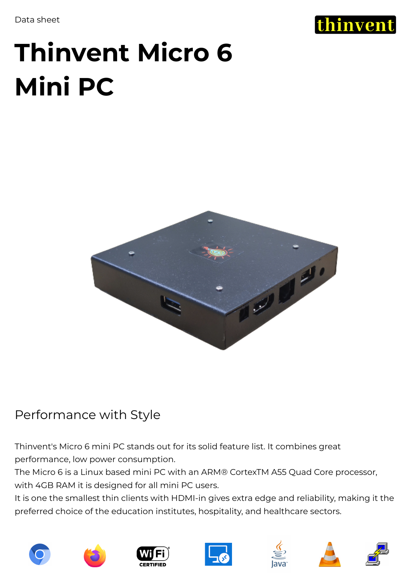Data sheet



# **Thinvent Micro 6 Mini PC**



## Performance with Style

Thinvent's Micro 6 mini PC stands out for its solid feature list. It combines great performance, low power consumption.

The Micro 6 is a Linux based mini PC with an ARM® CortexTM A55 Quad Core processor, with 4GB RAM it is designed for all mini PC users.

It is one the smallest thin clients with HDMI-in gives extra edge and reliability, making it the preferred choice of the education institutes, hospitality, and healthcare sectors.